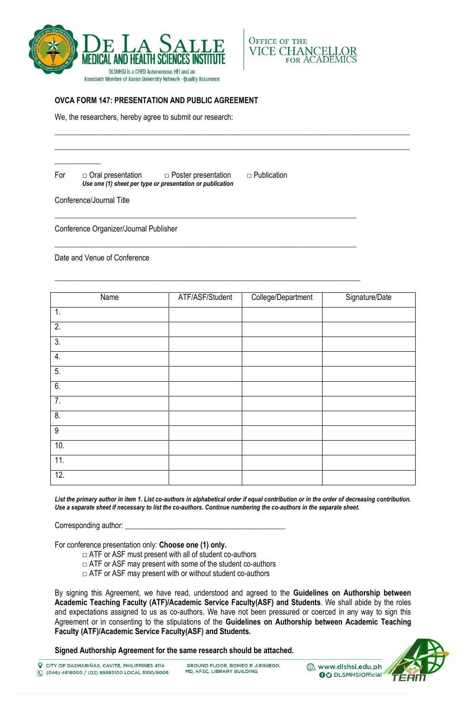



## **OVCA FORM 147: PRESENTATION AND PUBLIC AGREEMENT**

We, the researchers, hereby agree to submit our research:

For  $\Box$  Oral presentation  $\Box$  Poster presentation  $\Box$  Publication *Use one (1) sheet per type or presentation or publication* 

 $\_$  ,  $\_$  ,  $\_$  ,  $\_$  ,  $\_$  ,  $\_$  ,  $\_$  ,  $\_$  ,  $\_$  ,  $\_$  ,  $\_$  ,  $\_$  ,  $\_$  ,  $\_$  ,  $\_$  ,  $\_$  ,  $\_$  ,  $\_$  ,  $\_$  ,  $\_$  ,  $\_$  ,  $\_$  ,  $\_$  ,  $\_$  ,  $\_$  ,  $\_$  ,  $\_$  ,  $\_$  ,  $\_$  ,  $\_$  ,  $\_$  ,  $\_$  ,  $\_$  ,  $\_$  ,  $\_$  ,  $\_$  ,  $\_$  , \_\_\_\_\_\_\_\_\_\_\_\_\_\_\_\_\_\_\_\_\_\_\_\_\_\_\_\_\_\_\_\_\_\_\_\_\_\_\_\_\_\_\_\_\_\_\_\_\_\_\_\_\_\_\_\_\_\_\_\_\_\_\_\_\_\_\_\_\_\_\_\_\_\_\_\_\_\_\_\_\_\_\_\_\_\_\_\_\_\_\_\_\_

\_\_\_\_\_\_\_\_\_\_\_\_\_\_\_\_\_\_\_\_\_\_\_\_\_\_\_\_\_\_\_\_\_\_\_\_\_\_\_\_\_\_\_\_\_\_\_\_\_\_\_\_\_\_\_\_\_\_\_\_\_\_\_\_\_\_\_\_\_\_\_\_\_\_\_\_\_\_\_

\_\_\_\_\_\_\_\_\_\_\_\_\_\_\_\_\_\_\_\_\_\_\_\_\_\_\_\_\_\_\_\_\_\_\_\_\_\_\_\_\_\_\_\_\_\_\_\_\_\_\_\_\_\_\_\_\_\_\_\_\_\_\_\_\_\_\_\_\_\_\_\_\_\_\_\_\_\_\_

\_\_\_\_\_\_\_\_\_\_\_\_\_\_\_\_\_\_\_\_\_\_\_\_\_\_\_\_\_\_\_\_\_\_\_\_\_\_\_\_\_\_\_\_\_\_\_\_\_\_\_\_\_\_\_\_\_\_\_\_\_\_\_\_\_\_\_\_\_\_\_\_\_\_\_\_\_\_\_\_

Conference/Journal Title

\_\_\_\_\_\_\_\_\_\_\_\_

Conference Organizer/Journal Publisher

Date and Venue of Conference

| Name             | ATF/ASF/Student | College/Department | Signature/Date |
|------------------|-----------------|--------------------|----------------|
| $\overline{1}$ . |                 |                    |                |
| $\overline{2}$ . |                 |                    |                |
| $\overline{3}$ . |                 |                    |                |
| 4.               |                 |                    |                |
| 5.               |                 |                    |                |
| 6.               |                 |                    |                |
| $\overline{7}$ . |                 |                    |                |
| $\overline{8}$ . |                 |                    |                |
| $\overline{9}$   |                 |                    |                |
| 10.              |                 |                    |                |
| 11.              |                 |                    |                |
| 12.              |                 |                    |                |

*List the primary author in item 1. List co-authors in alphabetical order if equal contribution or in the order of decreasing contribution. Use a separate sheet if necessary to list the co-authors. Continue numbering the co-authors in the separate sheet.* 

Corresponding author:

For conference presentation only: **Choose one (1) only.**

- $\Box$  ATF or ASF must present with all of student co-authors
- $\Box$  ATF or ASF may present with some of the student co-authors
- $\Box$  ATF or ASF may present with or without student co-authors

By signing this Agreement, we have read, understood and agreed to the **Guidelines on Authorship between Academic Teaching Faculty (ATF)/Academic Service Faculty(ASF) and Students**. We shall abide by the roles and expectations assigned to us as co-authors. We have not been pressured or coerced in any way to sign this Agreement or in consenting to the stipulations of the **Guidelines on Authorship between Academic Teaching Faculty (ATF)/Academic Service Faculty(ASF) and Students.** 

**Signed Authorship Agreement for the same research should be attached.** 



www.dlshsi.edu.ph